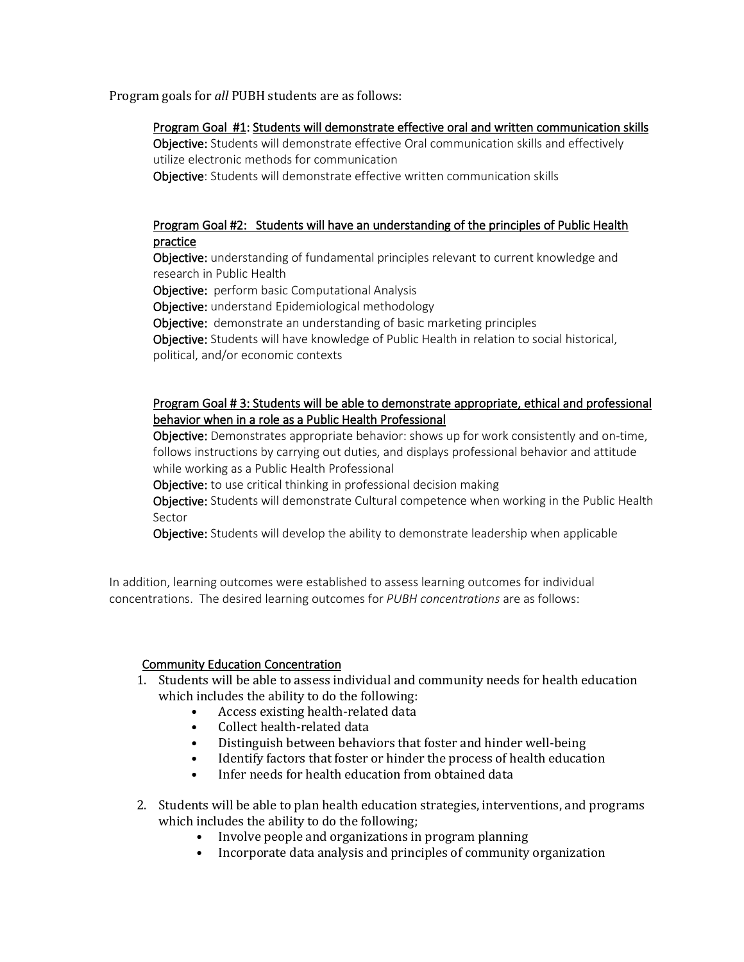Program goals for *all* PUBH students are as follows:

### Program Goal #1: Students will demonstrate effective oral and written communication skills

Obiective: Students will demonstrate effective Oral communication skills and effectively utilize electronic methods for communication

Objective: Students will demonstrate effective written communication skills

# Program Goal #2: Students will have an understanding of the principles of Public Health practice

Objective: understanding of fundamental principles relevant to current knowledge and research in Public Health

Objective: perform basic Computational Analysis

Objective: understand Epidemiological methodology

Objective: demonstrate an understanding of basic marketing principles

Objective: Students will have knowledge of Public Health in relation to social historical, political, and/or economic contexts

### Program Goal # 3: Students will be able to demonstrate appropriate, ethical and professional behavior when in a role as a Public Health Professional

Objective: Demonstrates appropriate behavior: shows up for work consistently and on-time, follows instructions by carrying out duties, and displays professional behavior and attitude while working as a Public Health Professional

**Objective:** to use critical thinking in professional decision making

Objective: Students will demonstrate Cultural competence when working in the Public Health Sector

Objective: Students will develop the ability to demonstrate leadership when applicable

In addition, learning outcomes were established to assess learning outcomes for individual concentrations. The desired learning outcomes for *PUBH concentrations* are as follows:

## Community Education Concentration

- 1. Students will be able to assess individual and community needs for health education which includes the ability to do the following:
	- Access existing health-related data<br>• Collect health-related data
	- Collect health-related data<br>• Distinguish between behav
	- Distinguish between behaviors that foster and hinder well-being
	- Identify factors that foster or hinder the process of health education<br>• Infer needs for health education from obtained data
	- Infer needs for health education from obtained data
- 2. Students will be able to plan health education strategies, interventions, and programs which includes the ability to do the following;
	- Involve people and organizations in program planning
	- Incorporate data analysis and principles of community organization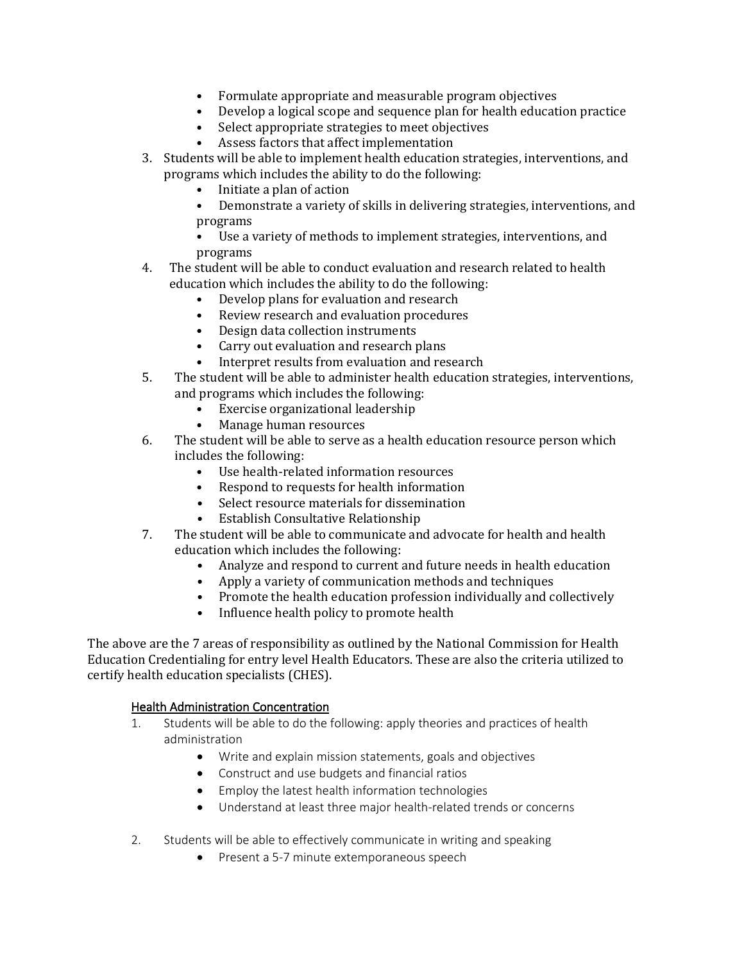- Formulate appropriate and measurable program objectives
- Develop a logical scope and sequence plan for health education practice
- Select appropriate strategies to meet objectives<br>• Assess factors that affect implementation
- Assess factors that affect implementation
- 3. Students will be able to implement health education strategies, interventions, and programs which includes the ability to do the following:
	- Initiate a plan of action
	- Demonstrate a variety of skills in delivering strategies, interventions, and programs
	- Use a variety of methods to implement strategies, interventions, and programs
- 4. The student will be able to conduct evaluation and research related to health education which includes the ability to do the following:
	- Develop plans for evaluation and research
	- Review research and evaluation procedures
	- Design data collection instruments
	- Carry out evaluation and research plans<br>• Interpret results from evaluation and res
	- Interpret results from evaluation and research
- 5. The student will be able to administer health education strategies, interventions, and programs which includes the following:
	- Exercise organizational leadership<br>• Manage human resources
	- Manage human resources
- 6. The student will be able to serve as a health education resource person which includes the following:
	- Use health-related information resources
	- Respond to requests for health information
	- Select resource materials for dissemination<br>• Establish Consultative Relationship
	- Establish Consultative Relationship
- 7. The student will be able to communicate and advocate for health and health education which includes the following:
	- Analyze and respond to current and future needs in health education
	- Apply a variety of communication methods and techniques
	- Promote the health education profession individually and collectively
	- Influence health policy to promote health

The above are the 7 areas of responsibility as outlined by the National Commission for Health Education Credentialing for entry level Health Educators. These are also the criteria utilized to certify health education specialists (CHES).

### Health Administration Concentration

- 1. Students will be able to do the following: apply theories and practices of health administration
	- Write and explain mission statements, goals and objectives
	- Construct and use budgets and financial ratios
	- Employ the latest health information technologies
	- Understand at least three major health-related trends or concerns
- 2. Students will be able to effectively communicate in writing and speaking
	- Present a 5-7 minute extemporaneous speech